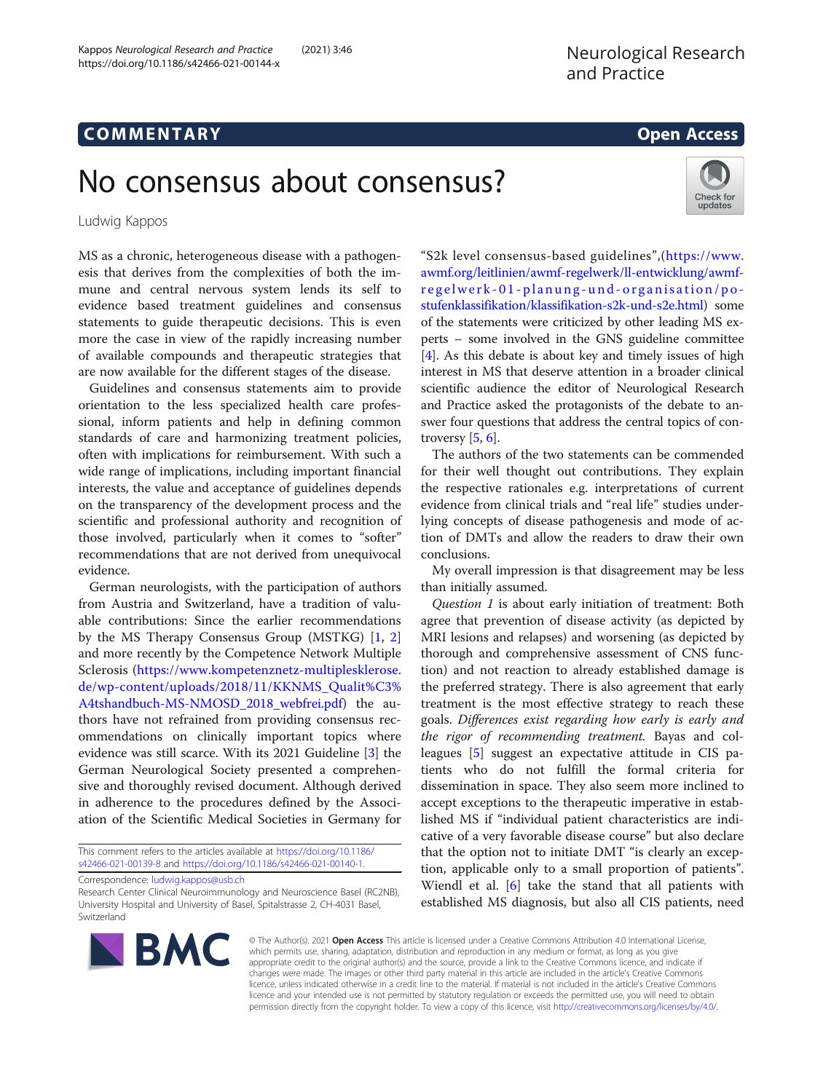# COMM EN TARY Open Access

Check for updates

# No consensus about consensus?

Ludwig Kappos

MS as a chronic, heterogeneous disease with a pathogenesis that derives from the complexities of both the immune and central nervous system lends its self to evidence based treatment guidelines and consensus statements to guide therapeutic decisions. This is even more the case in view of the rapidly increasing number of available compounds and therapeutic strategies that are now available for the different stages of the disease.

Guidelines and consensus statements aim to provide orientation to the less specialized health care professional, inform patients and help in defining common standards of care and harmonizing treatment policies, often with implications for reimbursement. With such a wide range of implications, including important financial interests, the value and acceptance of guidelines depends on the transparency of the development process and the scientific and professional authority and recognition of those involved, particularly when it comes to "softer" recommendations that are not derived from unequivocal evidence.

German neurologists, with the participation of authors from Austria and Switzerland, have a tradition of valuable contributions: Since the earlier recommendations by the MS Therapy Consensus Group (MSTKG) [\[1](#page-2-0), [2](#page-2-0)] and more recently by the Competence Network Multiple Sclerosis [\(https://www.kompetenznetz-multiplesklerose.](https://www.kompetenznetz-multiplesklerose.de/wp-content/uploads/2018/11/KKNMS_Qualit%C3%A4tshandbuch-MS-NMOSD_2018_webfrei.pdf) [de/wp-content/uploads/2018/11/KKNMS\\_Qualit%C3%](https://www.kompetenznetz-multiplesklerose.de/wp-content/uploads/2018/11/KKNMS_Qualit%C3%A4tshandbuch-MS-NMOSD_2018_webfrei.pdf) [A4tshandbuch-MS-NMOSD\\_2018\\_webfrei.pdf](https://www.kompetenznetz-multiplesklerose.de/wp-content/uploads/2018/11/KKNMS_Qualit%C3%A4tshandbuch-MS-NMOSD_2018_webfrei.pdf)) the authors have not refrained from providing consensus recommendations on clinically important topics where evidence was still scarce. With its 2021 Guideline [[3](#page-2-0)] the German Neurological Society presented a comprehensive and thoroughly revised document. Although derived in adherence to the procedures defined by the Association of the Scientific Medical Societies in Germany for

This comment refers to the articles available at [https://doi.org/10.1186/](https://doi.org/10.1186/s42466-021-00139-8) [s42466-021-00139-8](https://doi.org/10.1186/s42466-021-00139-8) and [https://doi.org/10.1186/s42466-021-00140-1.](https://doi.org/10.1186/s42466-021-00140-1)

Correspondence: [ludwig.kappos@usb.ch](mailto:ludwig.kappos@usb.ch)

Research Center Clinical Neuroimmunology and Neuroscience Basel (RC2NB), University Hospital and University of Basel, Spitalstrasse 2, CH-4031 Basel, Switzerland

"S2k level consensus-based guidelines",([https://www.](https://www.awmf.org/leitlinien/awmf-regelwerk/ll-entwicklung/awmf-regelwerk-01-planung-und-organisation/po-stufenklassifikation/klassifikation-s2k-und-s2e.html) [awmf.org/leitlinien/awmf-regelwerk/ll-entwicklung/awmf](https://www.awmf.org/leitlinien/awmf-regelwerk/ll-entwicklung/awmf-regelwerk-01-planung-und-organisation/po-stufenklassifikation/klassifikation-s2k-und-s2e.html)[regelwerk-01-planung-u](https://www.awmf.org/leitlinien/awmf-regelwerk/ll-entwicklung/awmf-regelwerk-01-planung-und-organisation/po-stufenklassifikation/klassifikation-s2k-und-s2e.html) nd-organisation/po[stufenklassifikation/klassifikation-s2k-und-s2e.html](https://www.awmf.org/leitlinien/awmf-regelwerk/ll-entwicklung/awmf-regelwerk-01-planung-und-organisation/po-stufenklassifikation/klassifikation-s2k-und-s2e.html)) some of the statements were criticized by other leading MS experts – some involved in the GNS guideline committee [[4\]](#page-2-0). As this debate is about key and timely issues of high interest in MS that deserve attention in a broader clinical scientific audience the editor of Neurological Research and Practice asked the protagonists of the debate to answer four questions that address the central topics of controversy  $[5, 6]$  $[5, 6]$  $[5, 6]$ .

The authors of the two statements can be commended for their well thought out contributions. They explain the respective rationales e.g. interpretations of current evidence from clinical trials and "real life" studies underlying concepts of disease pathogenesis and mode of action of DMTs and allow the readers to draw their own conclusions.

My overall impression is that disagreement may be less than initially assumed.

Question 1 is about early initiation of treatment: Both agree that prevention of disease activity (as depicted by MRI lesions and relapses) and worsening (as depicted by thorough and comprehensive assessment of CNS function) and not reaction to already established damage is the preferred strategy. There is also agreement that early treatment is the most effective strategy to reach these goals. Differences exist regarding how early is early and the rigor of recommending treatment. Bayas and colleagues [\[5](#page-2-0)] suggest an expectative attitude in CIS patients who do not fulfill the formal criteria for dissemination in space. They also seem more inclined to accept exceptions to the therapeutic imperative in established MS if "individual patient characteristics are indicative of a very favorable disease course" but also declare that the option not to initiate DMT "is clearly an exception, applicable only to a small proportion of patients". Wiendl et al. [\[6](#page-2-0)] take the stand that all patients with established MS diagnosis, but also all CIS patients, need



© The Author(s). 2021 Open Access This article is licensed under a Creative Commons Attribution 4.0 International License, which permits use, sharing, adaptation, distribution and reproduction in any medium or format, as long as you give appropriate credit to the original author(s) and the source, provide a link to the Creative Commons licence, and indicate if changes were made. The images or other third party material in this article are included in the article's Creative Commons licence, unless indicated otherwise in a credit line to the material. If material is not included in the article's Creative Commons licence and your intended use is not permitted by statutory regulation or exceeds the permitted use, you will need to obtain permission directly from the copyright holder. To view a copy of this licence, visit [http://creativecommons.org/licenses/by/4.0/.](http://creativecommons.org/licenses/by/4.0/)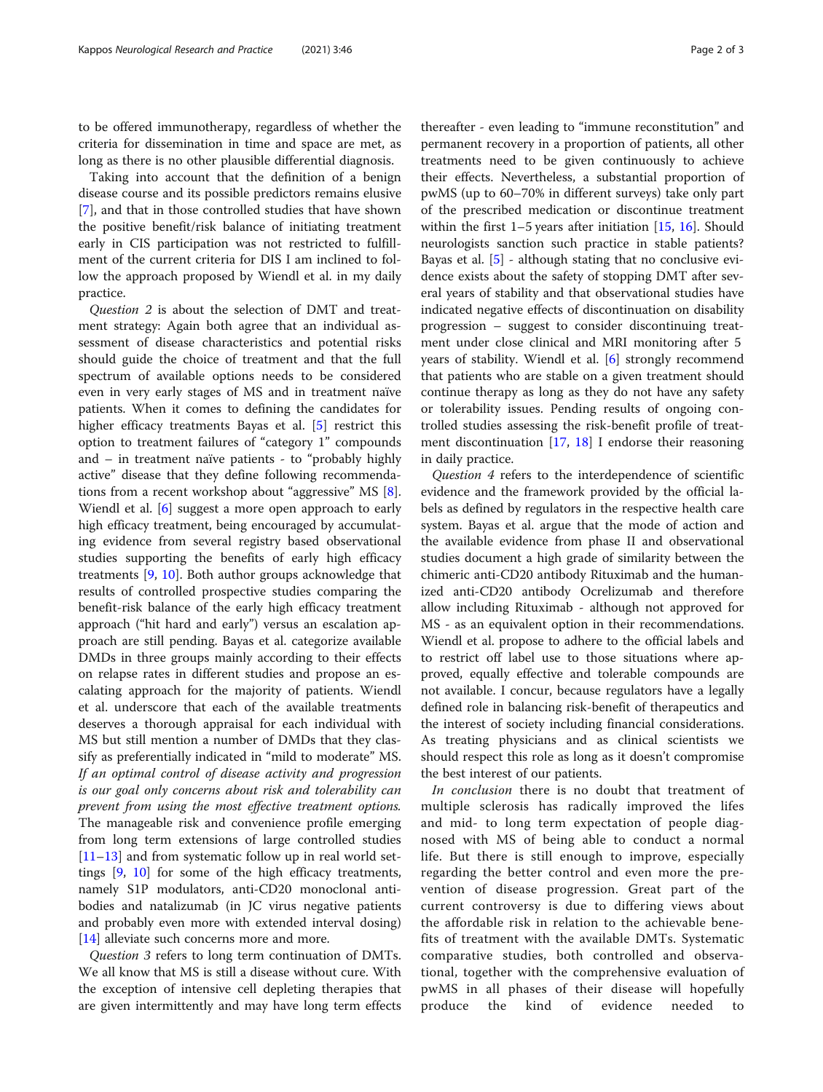to be offered immunotherapy, regardless of whether the criteria for dissemination in time and space are met, as long as there is no other plausible differential diagnosis.

Taking into account that the definition of a benign disease course and its possible predictors remains elusive [[7\]](#page-2-0), and that in those controlled studies that have shown the positive benefit/risk balance of initiating treatment early in CIS participation was not restricted to fulfillment of the current criteria for DIS I am inclined to follow the approach proposed by Wiendl et al. in my daily practice.

Question 2 is about the selection of DMT and treatment strategy: Again both agree that an individual assessment of disease characteristics and potential risks should guide the choice of treatment and that the full spectrum of available options needs to be considered even in very early stages of MS and in treatment naïve patients. When it comes to defining the candidates for higher efficacy treatments Bayas et al. [[5\]](#page-2-0) restrict this option to treatment failures of "category 1" compounds and – in treatment naïve patients - to "probably highly active" disease that they define following recommendations from a recent workshop about "aggressive" MS [\[8](#page-2-0)]. Wiendl et al. [[6\]](#page-2-0) suggest a more open approach to early high efficacy treatment, being encouraged by accumulating evidence from several registry based observational studies supporting the benefits of early high efficacy treatments [[9,](#page-2-0) [10\]](#page-2-0). Both author groups acknowledge that results of controlled prospective studies comparing the benefit-risk balance of the early high efficacy treatment approach ("hit hard and early") versus an escalation approach are still pending. Bayas et al. categorize available DMDs in three groups mainly according to their effects on relapse rates in different studies and propose an escalating approach for the majority of patients. Wiendl et al. underscore that each of the available treatments deserves a thorough appraisal for each individual with MS but still mention a number of DMDs that they classify as preferentially indicated in "mild to moderate" MS. If an optimal control of disease activity and progression is our goal only concerns about risk and tolerability can prevent from using the most effective treatment options. The manageable risk and convenience profile emerging from long term extensions of large controlled studies [[11](#page-2-0)–[13](#page-2-0)] and from systematic follow up in real world settings [\[9](#page-2-0), [10\]](#page-2-0) for some of the high efficacy treatments, namely S1P modulators, anti-CD20 monoclonal antibodies and natalizumab (in JC virus negative patients and probably even more with extended interval dosing) [[14\]](#page-2-0) alleviate such concerns more and more.

Question 3 refers to long term continuation of DMTs. We all know that MS is still a disease without cure. With the exception of intensive cell depleting therapies that are given intermittently and may have long term effects

thereafter - even leading to "immune reconstitution" and permanent recovery in a proportion of patients, all other treatments need to be given continuously to achieve their effects. Nevertheless, a substantial proportion of pwMS (up to 60–70% in different surveys) take only part of the prescribed medication or discontinue treatment within the first  $1-5$  years after initiation [\[15](#page-2-0), [16](#page-2-0)]. Should neurologists sanction such practice in stable patients? Bayas et al. [\[5\]](#page-2-0) - although stating that no conclusive evidence exists about the safety of stopping DMT after several years of stability and that observational studies have indicated negative effects of discontinuation on disability progression – suggest to consider discontinuing treatment under close clinical and MRI monitoring after 5 years of stability. Wiendl et al. [[6\]](#page-2-0) strongly recommend that patients who are stable on a given treatment should continue therapy as long as they do not have any safety or tolerability issues. Pending results of ongoing controlled studies assessing the risk-benefit profile of treatment discontinuation  $[17, 18]$  $[17, 18]$  $[17, 18]$  $[17, 18]$  I endorse their reasoning in daily practice.

Question 4 refers to the interdependence of scientific evidence and the framework provided by the official labels as defined by regulators in the respective health care system. Bayas et al. argue that the mode of action and the available evidence from phase II and observational studies document a high grade of similarity between the chimeric anti-CD20 antibody Rituximab and the humanized anti-CD20 antibody Ocrelizumab and therefore allow including Rituximab - although not approved for MS - as an equivalent option in their recommendations. Wiendl et al. propose to adhere to the official labels and to restrict off label use to those situations where approved, equally effective and tolerable compounds are not available. I concur, because regulators have a legally defined role in balancing risk-benefit of therapeutics and the interest of society including financial considerations. As treating physicians and as clinical scientists we should respect this role as long as it doesn't compromise the best interest of our patients.

In conclusion there is no doubt that treatment of multiple sclerosis has radically improved the lifes and mid- to long term expectation of people diagnosed with MS of being able to conduct a normal life. But there is still enough to improve, especially regarding the better control and even more the prevention of disease progression. Great part of the current controversy is due to differing views about the affordable risk in relation to the achievable benefits of treatment with the available DMTs. Systematic comparative studies, both controlled and observational, together with the comprehensive evaluation of pwMS in all phases of their disease will hopefully produce the kind of evidence needed to